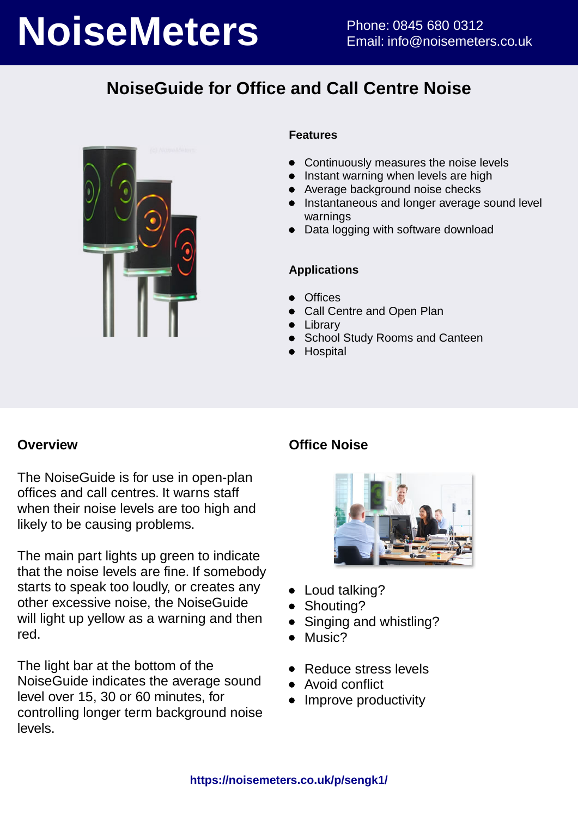# **NoiseMeters** Phone: 0845 680 0312

# **NoiseGuide for Office and Call Centre Noise**



### **Features**

- Continuously measures the noise levels
- **•** Instant warning when levels are high
- Average background noise checks
- **•** Instantaneous and longer average sound level warnings
- Data logging with software download

### **Applications**

- **Offices**
- Call Centre and Open Plan
- **•** Library
- School Study Rooms and Canteen
- Hospital

### **Overview**

The NoiseGuide is for use in open-plan offices and call centres. It warns staff when their noise levels are too high and likely to be causing problems.

The main part lights up green to indicate that the noise levels are fine. If somebody starts to speak too loudly, or creates any other excessive noise, the NoiseGuide will light up yellow as a warning and then red.

The light bar at the bottom of the NoiseGuide indicates the average sound level over 15, 30 or 60 minutes, for controlling longer term background noise levels.

### **Office Noise**



- Loud talking?
- Shouting?
- Singing and whistling?
- Music?  $\bullet$
- Reduce stress levels
- Avoid conflict
- Improve productivity $\bullet$